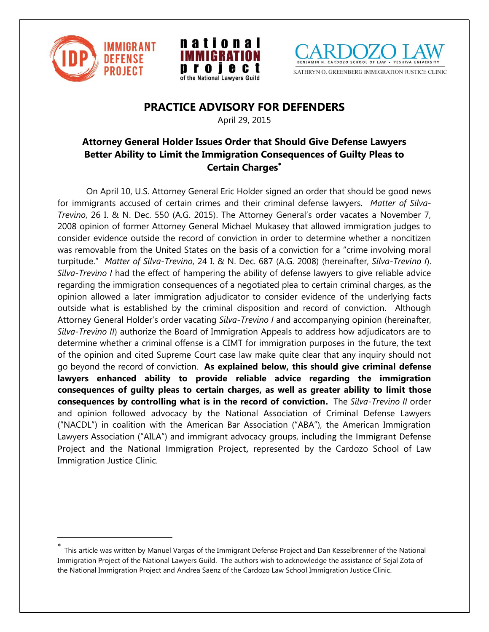

 $\overline{a}$ 





# **PRACTICE ADVISORY FOR DEFENDERS**

April 29, 2015

## **Attorney General Holder Issues Order that Should Give Defense Lawyers Better Ability to Limit the Immigration Consequences of Guilty Pleas to Certain Charges**

On April 10, U.S. Attorney General Eric Holder signed an order that should be good news for immigrants accused of certain crimes and their criminal defense lawyers. *Matter of Silva-Trevino*, 26 I. & N. Dec. 550 (A.G. 2015). The Attorney General's order vacates a November 7, 2008 opinion of former Attorney General Michael Mukasey that allowed immigration judges to consider evidence outside the record of conviction in order to determine whether a noncitizen was removable from the United States on the basis of a conviction for a "crime involving moral turpitude." *Matter of Silva-Trevino*, 24 I. & N. Dec. 687 (A.G. 2008) (hereinafter, *Silva-Trevino I*). *Silva-Trevino I* had the effect of hampering the ability of defense lawyers to give reliable advice regarding the immigration consequences of a negotiated plea to certain criminal charges, as the opinion allowed a later immigration adjudicator to consider evidence of the underlying facts outside what is established by the criminal disposition and record of conviction. Although Attorney General Holder's order vacating *Silva-Trevino I* and accompanying opinion (hereinafter, *Silva-Trevino II*) authorize the Board of Immigration Appeals to address how adjudicators are to determine whether a criminal offense is a CIMT for immigration purposes in the future, the text of the opinion and cited Supreme Court case law make quite clear that any inquiry should not go beyond the record of conviction. **As explained below, this should give criminal defense lawyers enhanced ability to provide reliable advice regarding the immigration consequences of guilty pleas to certain charges, as well as greater ability to limit those consequences by controlling what is in the record of conviction.** The *Silva-Trevino II* order and opinion followed advocacy by the National Association of Criminal Defense Lawyers ("NACDL") in coalition with the American Bar Association ("ABA"), the American Immigration Lawyers Association ("AILA") and immigrant advocacy groups, including the Immigrant Defense Project and the National Immigration Project, represented by the Cardozo School of Law Immigration Justice Clinic.

<sup>×</sup> This article was written by Manuel Vargas of the Immigrant Defense Project and Dan Kesselbrenner of the National Immigration Project of the National Lawyers Guild. The authors wish to acknowledge the assistance of Sejal Zota of the National Immigration Project and Andrea Saenz of the Cardozo Law School Immigration Justice Clinic.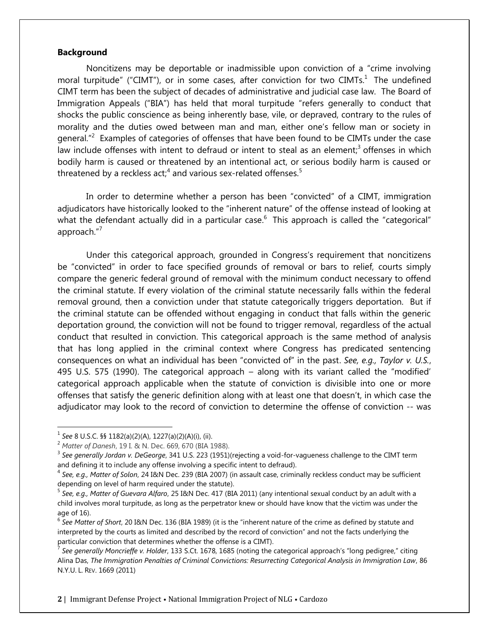#### **Background**

Noncitizens may be deportable or inadmissible upon conviction of a "crime involving moral turpitude" ("CIMT"), or in some cases, after conviction for two CIMTs.<sup>1</sup> The undefined CIMT term has been the subject of decades of administrative and judicial case law. The Board of Immigration Appeals ("BIA") has held that moral turpitude "refers generally to conduct that shocks the public conscience as being inherently base, vile, or depraved, contrary to the rules of morality and the duties owed between man and man, either one's fellow man or society in general."<sup>2</sup> Examples of categories of offenses that have been found to be CIMTs under the case law include offenses with intent to defraud or intent to steal as an element;<sup>3</sup> offenses in which bodily harm is caused or threatened by an intentional act, or serious bodily harm is caused or threatened by a reckless act;<sup>4</sup> and various sex-related offenses.<sup>5</sup>

In order to determine whether a person has been "convicted" of a CIMT, immigration adjudicators have historically looked to the "inherent nature" of the offense instead of looking at what the defendant actually did in a particular case.<sup>6</sup> This approach is called the "categorical" approach."<sup>7</sup>

Under this categorical approach, grounded in Congress's requirement that noncitizens be "convicted" in order to face specified grounds of removal or bars to relief, courts simply compare the generic federal ground of removal with the minimum conduct necessary to offend the criminal statute. If every violation of the criminal statute necessarily falls within the federal removal ground, then a conviction under that statute categorically triggers deportation. But if the criminal statute can be offended without engaging in conduct that falls within the generic deportation ground, the conviction will not be found to trigger removal, regardless of the actual conduct that resulted in conviction. This categorical approach is the same method of analysis that has long applied in the criminal context where Congress has predicated sentencing consequences on what an individual has been "convicted of" in the past. *See, e.g., Taylor v. U.S.*, 495 U.S. 575 (1990). The categorical approach – along with its variant called the "modified' categorical approach applicable when the statute of conviction is divisible into one or more offenses that satisfy the generic definition along with at least one that doesn't, in which case the adjudicator may look to the record of conviction to determine the offense of conviction -- was

 $\overline{a}$ 

<sup>1</sup> *See* 8 U.S.C. §§ 1182(a)(2)(A), 1227(a)(2)(A)(i), (ii).

<sup>2</sup> *Matter of Danesh*, 19 I. & N. Dec. 669, 670 (BIA 1988).

<sup>3</sup> *See generally Jordan v. DeGeorge*, 341 U.S. 223 (1951)(rejecting a void-for-vagueness challenge to the CIMT term and defining it to include any offense involving a specific intent to defraud).

<sup>4</sup> *See, e.g., Matter of Solon*, 24 I&N Dec. 239 (BIA 2007) (in assault case, criminally reckless conduct may be sufficient depending on level of harm required under the statute).

<sup>5</sup> *See, e.g., Matter of Guevara Alfaro*, 25 I&N Dec. 417 (BIA 2011) (any intentional sexual conduct by an adult with a child involves moral turpitude, as long as the perpetrator knew or should have know that the victim was under the age of 16).

<sup>&</sup>lt;sup>6</sup> See Matter of Short, 20 I&N Dec. 136 (BIA 1989) (it is the "inherent nature of the crime as defined by statute and interpreted by the courts as limited and described by the record of conviction" and not the facts underlying the particular conviction that determines whether the offense is a CIMT).

<sup>&</sup>lt;sup>7</sup> See generally Moncrieffe v. Holder, 133 S.Ct. 1678, 1685 (noting the categorical approach's "long pedigree," citing Alina Das, *The Immigration Penalties of Criminal Convictions: Resurrecting Categorical Analysis in Immigration Law*, 86 N.Y.U. L. REV. 1669 (2011)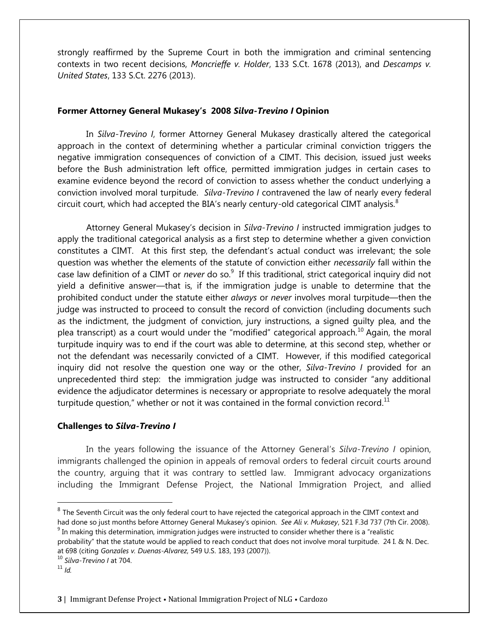strongly reaffirmed by the Supreme Court in both the immigration and criminal sentencing contexts in two recent decisions, *Moncrieffe v. Holder*, 133 S.Ct. 1678 (2013), and *Descamps v. United States*, 133 S.Ct. 2276 (2013).

#### **Former Attorney General Mukasey's 2008** *Silva-Trevino I* **Opinion**

In *Silva-Trevino I*, former Attorney General Mukasey drastically altered the categorical approach in the context of determining whether a particular criminal conviction triggers the negative immigration consequences of conviction of a CIMT. This decision, issued just weeks before the Bush administration left office, permitted immigration judges in certain cases to examine evidence beyond the record of conviction to assess whether the conduct underlying a conviction involved moral turpitude. *Silva-Trevino I* contravened the law of nearly every federal circuit court, which had accepted the BIA's nearly century-old categorical CIMT analysis. $8$ 

Attorney General Mukasey's decision in *Silva-Trevino I* instructed immigration judges to apply the traditional categorical analysis as a first step to determine whether a given conviction constitutes a CIMT. At this first step, the defendant's actual conduct was irrelevant; the sole question was whether the elements of the statute of conviction either *necessarily* fall within the case law definition of a CIMT or *never* do so.<sup>9</sup> If this traditional, strict categorical inquiry did not yield a definitive answer—that is, if the immigration judge is unable to determine that the prohibited conduct under the statute either *always* or *never* involves moral turpitude—then the judge was instructed to proceed to consult the record of conviction (including documents such as the indictment, the judgment of conviction, jury instructions, a signed guilty plea, and the plea transcript) as a court would under the "modified" categorical approach.<sup>10</sup> Again, the moral turpitude inquiry was to end if the court was able to determine, at this second step, whether or not the defendant was necessarily convicted of a CIMT. However, if this modified categorical inquiry did not resolve the question one way or the other, *Silva-Trevino I* provided for an unprecedented third step: the immigration judge was instructed to consider "any additional evidence the adjudicator determines is necessary or appropriate to resolve adequately the moral turpitude question," whether or not it was contained in the formal conviction record. $<sup>11</sup>$ </sup>

#### **Challenges to** *Silva-Trevino I*

In the years following the issuance of the Attorney General's *Silva-Trevino I* opinion, immigrants challenged the opinion in appeals of removal orders to federal circuit courts around the country, arguing that it was contrary to settled law. Immigrant advocacy organizations including the Immigrant Defense Project, the National Immigration Project, and allied

 $\overline{a}$ 

 $^8$  The Seventh Circuit was the only federal court to have rejected the categorical approach in the CIMT context and had done so just months before Attorney General Mukasey's opinion. *See Ali v. Mukasey*, 521 F.3d 737 (7th Cir. 2008).

 $^9$  In making this determination, immigration judges were instructed to consider whether there is a "realistic probability" that the statute would be applied to reach conduct that does not involve moral turpitude. 24 I. & N. Dec. at 698 (citing *Gonzales v. Duenas-Alvarez*, 549 U.S. 183, 193 (2007)).

<sup>10</sup> *Silva-Trevino I* at 704.

 $11$  *Id.*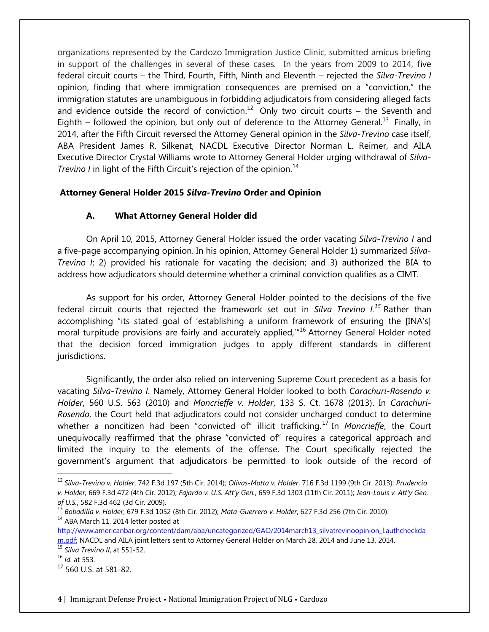organizations represented by the Cardozo Immigration Justice Clinic, submitted amicus briefing in support of the challenges in several of these cases. In the years from 2009 to 2014, five federal circuit courts – the Third, Fourth, Fifth, Ninth and Eleventh – rejected the *Silva-Trevino I* opinion, finding that where immigration consequences are premised on a "conviction," the immigration statutes are unambiguous in forbidding adjudicators from considering alleged facts and evidence outside the record of conviction.<sup>12</sup> Only two circuit courts – the Seventh and Eighth  $-$  followed the opinion, but only out of deference to the Attorney General.<sup>13</sup> Finally, in 2014, after the Fifth Circuit reversed the Attorney General opinion in the *Silva-Trevino* case itself, ABA President James R. Silkenat, NACDL Executive Director Norman L. Reimer, and AILA Executive Director Crystal Williams wrote to Attorney General Holder urging withdrawal of *Silva-Trevino I* in light of the Fifth Circuit's rejection of the opinion.<sup>14</sup>

## **Attorney General Holder 2015** *Silva-Trevino* **Order and Opinion**

### **A. What Attorney General Holder did**

On April 10, 2015, Attorney General Holder issued the order vacating *Silva-Trevino I* and a five-page accompanying opinion. In his opinion, Attorney General Holder 1) summarized *Silva-Trevino I*; 2) provided his rationale for vacating the decision; and 3) authorized the BIA to address how adjudicators should determine whether a criminal conviction qualifies as a CIMT.

As support for his order, Attorney General Holder pointed to the decisions of the five federal circuit courts that rejected the framework set out in *Silva Trevino I.<sup>15</sup>* Rather than accomplishing "its stated goal of 'establishing a uniform framework of ensuring the [INA's] moral turpitude provisions are fairly and accurately applied,'" <sup>16</sup> Attorney General Holder noted that the decision forced immigration judges to apply different standards in different jurisdictions.

Significantly, the order also relied on intervening Supreme Court precedent as a basis for vacating *Silva-Trevino I*. Namely, Attorney General Holder looked to both *Carachuri-Rosendo v. Holder*, 560 U.S. 563 (2010) and *Moncrieffe v. Holder*, 133 S. Ct. 1678 (2013). In *Carachuri-Rosendo*, the Court held that adjudicators could not consider uncharged conduct to determine whether a noncitizen had been "convicted of" illicit trafficking. <sup>17</sup> In *Moncrieffe*, the Court unequivocally reaffirmed that the phrase "convicted of" requires a categorical approach and limited the inquiry to the elements of the offense. The Court specifically rejected the government's argument that adjudicators be permitted to look outside of the record of

<sup>15</sup> *Silva Trevino II*, at 551-52.

 $\overline{a}$ 

<sup>12</sup> *Silva-Trevino v. Holder*, 742 F.3d 197 (5th Cir. 2014); *Olivas-Motta v. Holder*, 716 F.3d 1199 (9th Cir. 2013); *Prudencio v. Holder,* 669 F.3d 472 (4th Cir. 2012); *Fajardo v. U.S. Att'y Gen.*, 659 F.3d 1303 (11th Cir. 2011); *Jean-Louis v. Att'y Gen. of U.S.*, 582 F.3d 462 (3d Cir. 2009).

<sup>13</sup> *Bobadilla v. Holder*, 679 F.3d 1052 (8th Cir. 2012); *Mata-Guerrero v. Holder*, 627 F.3d 256 (7th Cir. 2010). <sup>14</sup> ABA March 11, 2014 letter posted at

[http://www.americanbar.org/content/dam/aba/uncategorized/GAO/2014march13\\_silvatrevinoopinion\\_l.authcheckda](http://www.americanbar.org/content/dam/aba/uncategorized/GAO/2014march13_silvatrevinoopinion_l.authcheckdam.pdf) [m.pdf;](http://www.americanbar.org/content/dam/aba/uncategorized/GAO/2014march13_silvatrevinoopinion_l.authcheckdam.pdf) NACDL and AILA joint letters sent to Attorney General Holder on March 28, 2014 and June 13, 2014.

<sup>16</sup> *Id*. at 553.

<sup>17</sup> 560 U.S. at 581-82.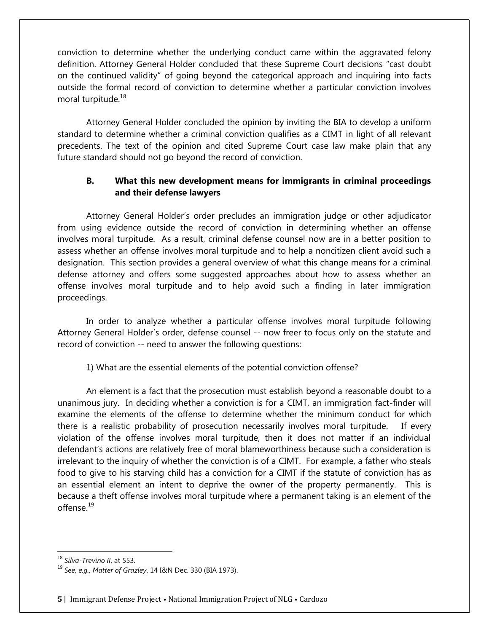conviction to determine whether the underlying conduct came within the aggravated felony definition. Attorney General Holder concluded that these Supreme Court decisions "cast doubt on the continued validity" of going beyond the categorical approach and inquiring into facts outside the formal record of conviction to determine whether a particular conviction involves moral turpitude.<sup>18</sup>

Attorney General Holder concluded the opinion by inviting the BIA to develop a uniform standard to determine whether a criminal conviction qualifies as a CIMT in light of all relevant precedents. The text of the opinion and cited Supreme Court case law make plain that any future standard should not go beyond the record of conviction.

## **B. What this new development means for immigrants in criminal proceedings and their defense lawyers**

Attorney General Holder's order precludes an immigration judge or other adjudicator from using evidence outside the record of conviction in determining whether an offense involves moral turpitude. As a result, criminal defense counsel now are in a better position to assess whether an offense involves moral turpitude and to help a noncitizen client avoid such a designation. This section provides a general overview of what this change means for a criminal defense attorney and offers some suggested approaches about how to assess whether an offense involves moral turpitude and to help avoid such a finding in later immigration proceedings.

In order to analyze whether a particular offense involves moral turpitude following Attorney General Holder's order, defense counsel -- now freer to focus only on the statute and record of conviction -- need to answer the following questions:

## 1) What are the essential elements of the potential conviction offense?

An element is a fact that the prosecution must establish beyond a reasonable doubt to a unanimous jury. In deciding whether a conviction is for a CIMT, an immigration fact-finder will examine the elements of the offense to determine whether the minimum conduct for which there is a realistic probability of prosecution necessarily involves moral turpitude. If every violation of the offense involves moral turpitude, then it does not matter if an individual defendant's actions are relatively free of moral blameworthiness because such a consideration is irrelevant to the inquiry of whether the conviction is of a CIMT. For example, a father who steals food to give to his starving child has a conviction for a CIMT if the statute of conviction has as an essential element an intent to deprive the owner of the property permanently. This is because a theft offense involves moral turpitude where a permanent taking is an element of the offense $19$ 

 $\overline{a}$ 

<sup>18</sup> *Silva-Trevino II*, at 553.

<sup>19</sup> *See, e.g., Matter of Grazley*, 14 I&N Dec. 330 (BIA 1973).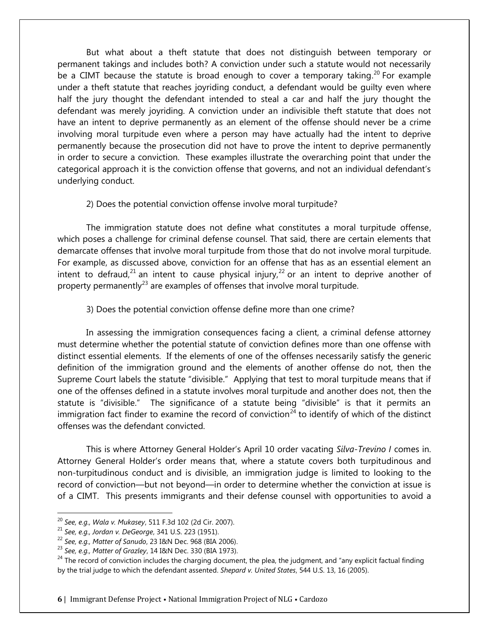But what about a theft statute that does not distinguish between temporary or permanent takings and includes both? A conviction under such a statute would not necessarily be a CIMT because the statute is broad enough to cover a temporary taking.<sup>20</sup> For example under a theft statute that reaches joyriding conduct, a defendant would be guilty even where half the jury thought the defendant intended to steal a car and half the jury thought the defendant was merely joyriding. A conviction under an indivisible theft statute that does not have an intent to deprive permanently as an element of the offense should never be a crime involving moral turpitude even where a person may have actually had the intent to deprive permanently because the prosecution did not have to prove the intent to deprive permanently in order to secure a conviction. These examples illustrate the overarching point that under the categorical approach it is the conviction offense that governs, and not an individual defendant's underlying conduct.

### 2) Does the potential conviction offense involve moral turpitude?

The immigration statute does not define what constitutes a moral turpitude offense, which poses a challenge for criminal defense counsel. That said, there are certain elements that demarcate offenses that involve moral turpitude from those that do not involve moral turpitude. For example, as discussed above, conviction for an offense that has as an essential element an intent to defraud,<sup>21</sup> an intent to cause physical injury,<sup>22</sup> or an intent to deprive another of property permanently<sup>23</sup> are examples of offenses that involve moral turpitude.

3) Does the potential conviction offense define more than one crime?

In assessing the immigration consequences facing a client, a criminal defense attorney must determine whether the potential statute of conviction defines more than one offense with distinct essential elements. If the elements of one of the offenses necessarily satisfy the generic definition of the immigration ground and the elements of another offense do not, then the Supreme Court labels the statute "divisible." Applying that test to moral turpitude means that if one of the offenses defined in a statute involves moral turpitude and another does not, then the statute is "divisible." The significance of a statute being "divisible" is that it permits an immigration fact finder to examine the record of conviction<sup>24</sup> to identify of which of the distinct offenses was the defendant convicted.

This is where Attorney General Holder's April 10 order vacating *Silva-Trevino I* comes in. Attorney General Holder's order means that, where a statute covers both turpitudinous and non-turpitudinous conduct and is divisible, an immigration judge is limited to looking to the record of conviction—but not beyond—in order to determine whether the conviction at issue is of a CIMT. This presents immigrants and their defense counsel with opportunities to avoid a

 $\overline{a}$ 

<sup>20</sup> *See, e.g., Wala v. Mukasey*, 511 F.3d 102 (2d Cir. 2007).

<sup>21</sup> *See, e.g., Jordan v. DeGeorge*, 341 U.S. 223 (1951).

<sup>22</sup> *See, e.g., Matter of Sanudo*, 23 I&N Dec. 968 (BIA 2006).

<sup>23</sup> *See, e.g., Matter of Grazley*, 14 I&N Dec. 330 (BIA 1973).

 $24$  The record of conviction includes the charging document, the plea, the judgment, and "any explicit factual finding by the trial judge to which the defendant assented. *Shepard v. United States*, 544 U.S. 13, 16 (2005).